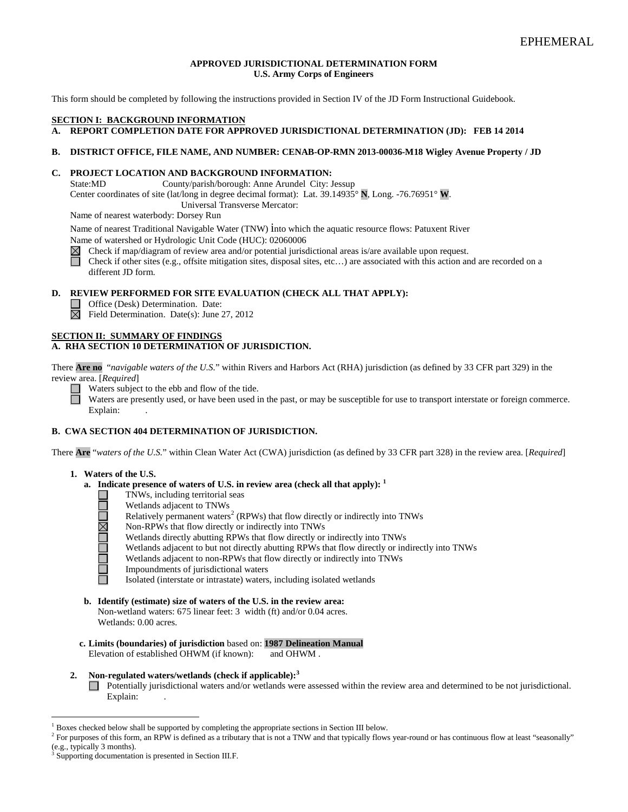#### **APPROVED JURISDICTIONAL DETERMINATION FORM U.S. Army Corps of Engineers**

This form should be completed by following the instructions provided in Section IV of the JD Form Instructional Guidebook.

## **SECTION I: BACKGROUND INFORMATION**

## **A. REPORT COMPLETION DATE FOR APPROVED JURISDICTIONAL DETERMINATION (JD): FEB 14 2014**

#### **B. DISTRICT OFFICE, FILE NAME, AND NUMBER: CENAB-OP-RMN 2013-00036-M18 Wigley Avenue Property / JD**

#### **C. PROJECT LOCATION AND BACKGROUND INFORMATION:**

State:MD County/parish/borough: Anne Arundel City: Jessup Center coordinates of site (lat/long in degree decimal format): Lat. 39.14935° **N**, Long. -76.76951° **W**. Universal Transverse Mercator:

Name of nearest waterbody: Dorsey Run

Name of nearest Traditional Navigable Water (TNW) into which the aquatic resource flows: Patuxent River Name of watershed or Hydrologic Unit Code (HUC): 02060006

Check if map/diagram of review area and/or potential jurisdictional areas is/are available upon request.  $\boxtimes$ 

П Check if other sites (e.g., offsite mitigation sites, disposal sites, etc…) are associated with this action and are recorded on a different JD form.

## **D. REVIEW PERFORMED FOR SITE EVALUATION (CHECK ALL THAT APPLY):**

Office (Desk) Determination. Date:

 $\boxtimes$  Field Determination. Date(s): June 27, 2012

#### **SECTION II: SUMMARY OF FINDINGS A. RHA SECTION 10 DETERMINATION OF JURISDICTION.**

There **Are no** "*navigable waters of the U.S.*" within Rivers and Harbors Act (RHA) jurisdiction (as defined by 33 CFR part 329) in the review area. [*Required*]

Waters subject to the ebb and flow of the tide.

Waters are presently used, or have been used in the past, or may be susceptible for use to transport interstate or foreign commerce. Explain:

### **B. CWA SECTION 404 DETERMINATION OF JURISDICTION.**

There **Are** "*waters of the U.S.*" within Clean Water Act (CWA) jurisdiction (as defined by 33 CFR part 328) in the review area. [*Required*]

#### **1. Waters of the U.S.**

**DOUDE MOOD** 

- **a. Indicate presence of waters of U.S. in review area (check all that apply): <sup>1</sup>**
	- TNWs, including territorial seas
	- Wetlands adjacent to TNWs
	- Relatively permanent waters<sup>2</sup> (RPWs) that flow directly or indirectly into TNWs
	- Non-RPWs that flow directly or indirectly into TNWs
	- Wetlands directly abutting RPWs that flow directly or indirectly into TNWs
	- Wetlands adjacent to but not directly abutting RPWs that flow directly or indirectly into TNWs
	- Wetlands adjacent to non-RPWs that flow directly or indirectly into TNWs
	- Impoundments of jurisdictional waters
	- Isolated (interstate or intrastate) waters, including isolated wetlands
- **b. Identify (estimate) size of waters of the U.S. in the review area:** Non-wetland waters: 675 linear feet: 3 width (ft) and/or 0.04 acres. Wetlands: 0.00 acres.
- **c. Limits (boundaries) of jurisdiction** based on: **1987 Delineation Manual** Elevation of established OHWM (if known): and OHWM .
- **2. Non-regulated waters/wetlands (check if applicable): 3** Potentially jurisdictional waters and/or wetlands were assessed within the review area and determined to be not jurisdictional. Explain:

<sup>&</sup>lt;sup>1</sup> Boxes checked below shall be supported by completing the appropriate sections in Section III below.

<sup>&</sup>lt;sup>2</sup> For purposes of this form, an RPW is defined as a tributary that is not a TNW and that typically flows year-round or has continuous flow at least "seasonally" (e.g., typically 3 months).

Supporting documentation is presented in Section III.F.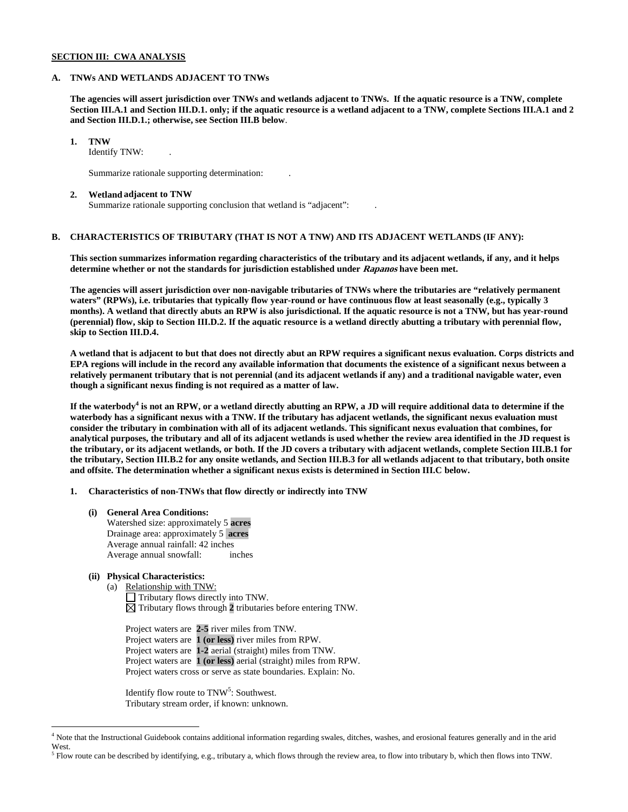### **SECTION III: CWA ANALYSIS**

#### **A. TNWs AND WETLANDS ADJACENT TO TNWs**

**The agencies will assert jurisdiction over TNWs and wetlands adjacent to TNWs. If the aquatic resource is a TNW, complete Section III.A.1 and Section III.D.1. only; if the aquatic resource is a wetland adjacent to a TNW, complete Sections III.A.1 and 2 and Section III.D.1.; otherwise, see Section III.B below**.

### **1. TNW**

Identify TNW: .

Summarize rationale supporting determination: .

#### **2. Wetland adjacent to TNW**

Summarize rationale supporting conclusion that wetland is "adjacent": .

## **B. CHARACTERISTICS OF TRIBUTARY (THAT IS NOT A TNW) AND ITS ADJACENT WETLANDS (IF ANY):**

**This section summarizes information regarding characteristics of the tributary and its adjacent wetlands, if any, and it helps determine whether or not the standards for jurisdiction established under Rapanos have been met.** 

**The agencies will assert jurisdiction over non-navigable tributaries of TNWs where the tributaries are "relatively permanent waters" (RPWs), i.e. tributaries that typically flow year-round or have continuous flow at least seasonally (e.g., typically 3 months). A wetland that directly abuts an RPW is also jurisdictional. If the aquatic resource is not a TNW, but has year-round (perennial) flow, skip to Section III.D.2. If the aquatic resource is a wetland directly abutting a tributary with perennial flow, skip to Section III.D.4.**

**A wetland that is adjacent to but that does not directly abut an RPW requires a significant nexus evaluation. Corps districts and EPA regions will include in the record any available information that documents the existence of a significant nexus between a relatively permanent tributary that is not perennial (and its adjacent wetlands if any) and a traditional navigable water, even though a significant nexus finding is not required as a matter of law.**

**If the waterbody<sup>4</sup> is not an RPW, or a wetland directly abutting an RPW, a JD will require additional data to determine if the waterbody has a significant nexus with a TNW. If the tributary has adjacent wetlands, the significant nexus evaluation must consider the tributary in combination with all of its adjacent wetlands. This significant nexus evaluation that combines, for analytical purposes, the tributary and all of its adjacent wetlands is used whether the review area identified in the JD request is the tributary, or its adjacent wetlands, or both. If the JD covers a tributary with adjacent wetlands, complete Section III.B.1 for the tributary, Section III.B.2 for any onsite wetlands, and Section III.B.3 for all wetlands adjacent to that tributary, both onsite and offsite. The determination whether a significant nexus exists is determined in Section III.C below.**

**1. Characteristics of non-TNWs that flow directly or indirectly into TNW**

**(i) General Area Conditions:** Watershed size: approximately 5 **acres** Drainage area: approximately 5 **acres** Average annual rainfall: 42 inches Average annual snowfall: inches

## **(ii) Physical Characteristics:**

(a) Relationship with TNW: Tributary flows directly into TNW. Tributary flows through **2** tributaries before entering TNW.

Project waters are **2-5** river miles from TNW. Project waters are **1 (or less)** river miles from RPW. Project waters are **1-2** aerial (straight) miles from TNW. Project waters are **1 (or less)** aerial (straight) miles from RPW. Project waters cross or serve as state boundaries. Explain: No.

Identify flow route to TNW<sup>5</sup>: Southwest. Tributary stream order, if known: unknown.

 <sup>4</sup> Note that the Instructional Guidebook contains additional information regarding swales, ditches, washes, and erosional features generally and in the arid West.

 $<sup>5</sup>$  Flow route can be described by identifying, e.g., tributary a, which flows through the review area, to flow into tributary b, which then flows into TNW.</sup>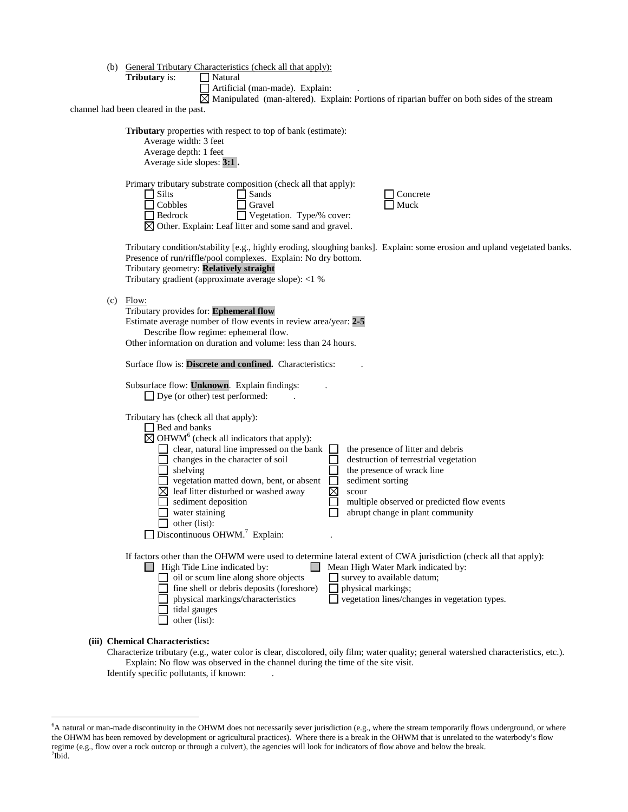|  | (b) General Tributary Characteristics (check all that apply): |  |
|--|---------------------------------------------------------------|--|
|  |                                                               |  |

**Tributary** is:  $\Box$  Natural

Artificial (man-made). Explain: .

 $\overline{\boxtimes}$  Manipulated (man-altered). Explain: Portions of riparian buffer on both sides of the stream

channel had been cleared in the past.

| <b>Tributary</b> properties with respect to top of bank (estimate):<br>Average width: 3 feet<br>Average depth: 1 feet<br>Average side slopes: 3:1.                                                                                                                                                                                                                                                                                                                                                                                                                                                                                                                          |
|-----------------------------------------------------------------------------------------------------------------------------------------------------------------------------------------------------------------------------------------------------------------------------------------------------------------------------------------------------------------------------------------------------------------------------------------------------------------------------------------------------------------------------------------------------------------------------------------------------------------------------------------------------------------------------|
| Primary tributary substrate composition (check all that apply):<br>$\Box$ Silts<br>Sands<br>Concrete<br>$\Box$ Cobbles<br>Gravel<br>Muck<br>$\Box$ Bedrock<br>$\Box$ Vegetation. Type/% cover:<br>$\boxtimes$ Other. Explain: Leaf litter and some sand and gravel.                                                                                                                                                                                                                                                                                                                                                                                                         |
| Tributary condition/stability [e.g., highly eroding, sloughing banks]. Explain: some erosion and upland vegetated banks.<br>Presence of run/riffle/pool complexes. Explain: No dry bottom.<br>Tributary geometry: Relatively straight<br>Tributary gradient (approximate average slope): <1 %                                                                                                                                                                                                                                                                                                                                                                               |
| $(c)$ Flow:<br>Tributary provides for: Ephemeral flow<br>Estimate average number of flow events in review area/year: 2-5<br>Describe flow regime: ephemeral flow.<br>Other information on duration and volume: less than 24 hours.                                                                                                                                                                                                                                                                                                                                                                                                                                          |
| Surface flow is: Discrete and confined. Characteristics:                                                                                                                                                                                                                                                                                                                                                                                                                                                                                                                                                                                                                    |
| Subsurface flow: Unknown. Explain findings:<br>$\Box$ Dye (or other) test performed:                                                                                                                                                                                                                                                                                                                                                                                                                                                                                                                                                                                        |
| Tributary has (check all that apply):<br>Bed and banks<br>$\boxtimes$ OHWM <sup>6</sup> (check all indicators that apply):<br>clear, natural line impressed on the bank<br>the presence of litter and debris<br>changes in the character of soil<br>destruction of terrestrial vegetation<br>shelving<br>the presence of wrack line<br>vegetation matted down, bent, or absent<br>sediment sorting<br>$\boxtimes$ leaf litter disturbed or washed away<br>⊠<br>scour<br>sediment deposition<br>multiple observed or predicted flow events<br>$\Box$ water staining<br>abrupt change in plant community<br>$\Box$ other (list):<br>Discontinuous OHWM. <sup>7</sup> Explain: |
| If factors other than the OHWM were used to determine lateral extent of CWA jurisdiction (check all that apply):<br>$\Box$ High Tide Line indicated by:<br>Mean High Water Mark indicated by:<br>$\Box$ oil or scum line along shore objects<br>$\Box$ survey to available datum;<br>fine shell or debris deposits (foreshore)<br>$\Box$ physical markings;<br>physical markings/characteristics<br>$\Box$ vegetation lines/changes in vegetation types.<br>tidal gauges<br>other (list):                                                                                                                                                                                   |
| (iii) Chemical Characteristics:                                                                                                                                                                                                                                                                                                                                                                                                                                                                                                                                                                                                                                             |

Characterize tributary (e.g., water color is clear, discolored, oily film; water quality; general watershed characteristics, etc.). Explain: No flow was observed in the channel during the time of the site visit. Identify specific pollutants, if known: .

 <sup>6</sup> <sup>6</sup>A natural or man-made discontinuity in the OHWM does not necessarily sever jurisdiction (e.g., where the stream temporarily flows underground, or where the OHWM has been removed by development or agricultural practices). Where there is a break in the OHWM that is unrelated to the waterbody's flow regime (e.g., flow over a rock outcrop or through a culvert), the agencies will look for indicators of flow above and below the break. <sup>7</sup>  $7$ Ibid.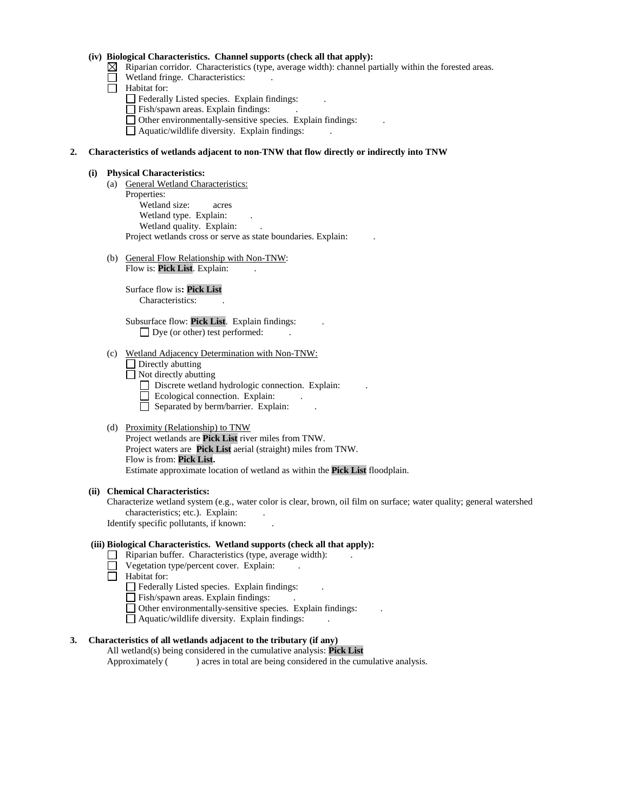### **(iv) Biological Characteristics. Channel supports (check all that apply):**

- $\boxtimes$  Riparian corridor. Characteristics (type, average width): channel partially within the forested areas.
- Wetland fringe. Characteristics:
- $\Box$  Habitat for:
	- Federally Listed species. Explain findings:
	- Fish/spawn areas. Explain findings: .
	- Other environmentally-sensitive species. Explain findings: .
	- Aquatic/wildlife diversity. Explain findings: .

#### **2. Characteristics of wetlands adjacent to non-TNW that flow directly or indirectly into TNW**

#### **(i) Physical Characteristics:**

- (a) General Wetland Characteristics: Properties: Wetland size: acres Wetland type. Explain: Wetland quality. Explain: Project wetlands cross or serve as state boundaries. Explain: .
- (b) General Flow Relationship with Non-TNW: Flow is: Pick List. Explain:

Surface flow is**: Pick List**  Characteristics: .

Subsurface flow: **Pick List**. Explain findings: . □ Dye (or other) test performed:

#### (c) Wetland Adjacency Determination with Non-TNW:

- $\Box$  Directly abutting
- $\Box$  Not directly abutting
	- Discrete wetland hydrologic connection. Explain:
	- $\Box$  Ecological connection. Explain:
	- Separated by berm/barrier. Explain:

### (d) Proximity (Relationship) to TNW

Project wetlands are **Pick List** river miles from TNW. Project waters are **Pick List** aerial (straight) miles from TNW. Flow is from: **Pick List.** Estimate approximate location of wetland as within the **Pick List** floodplain.

#### **(ii) Chemical Characteristics:**

Characterize wetland system (e.g., water color is clear, brown, oil film on surface; water quality; general watershed characteristics; etc.). Explain:

Identify specific pollutants, if known: .

### **(iii) Biological Characteristics. Wetland supports (check all that apply):**

- $\Box$  Riparian buffer. Characteristics (type, average width):
- Vegetation type/percent cover. Explain: . П
- **Habitat for:** 
	- Federally Listed species. Explain findings: .
	- Fish/spawn areas. Explain findings:
	- Other environmentally-sensitive species. Explain findings: .
	- Aquatic/wildlife diversity. Explain findings: .

## **3. Characteristics of all wetlands adjacent to the tributary (if any)**

All wetland(s) being considered in the cumulative analysis: **Pick List** Approximately () acres in total are being considered in the cumulative analysis.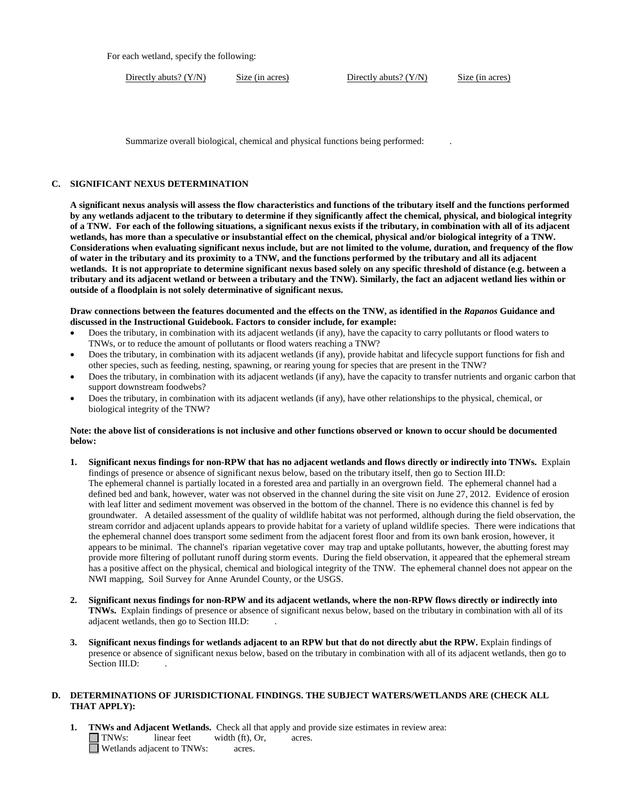For each wetland, specify the following:

Directly abuts? (Y/N) Size (in acres) Directly abuts? (Y/N) Size (in acres)

Summarize overall biological, chemical and physical functions being performed: .

#### **C. SIGNIFICANT NEXUS DETERMINATION**

**A significant nexus analysis will assess the flow characteristics and functions of the tributary itself and the functions performed by any wetlands adjacent to the tributary to determine if they significantly affect the chemical, physical, and biological integrity of a TNW. For each of the following situations, a significant nexus exists if the tributary, in combination with all of its adjacent wetlands, has more than a speculative or insubstantial effect on the chemical, physical and/or biological integrity of a TNW. Considerations when evaluating significant nexus include, but are not limited to the volume, duration, and frequency of the flow of water in the tributary and its proximity to a TNW, and the functions performed by the tributary and all its adjacent wetlands. It is not appropriate to determine significant nexus based solely on any specific threshold of distance (e.g. between a tributary and its adjacent wetland or between a tributary and the TNW). Similarly, the fact an adjacent wetland lies within or outside of a floodplain is not solely determinative of significant nexus.** 

**Draw connections between the features documented and the effects on the TNW, as identified in the** *Rapanos* **Guidance and discussed in the Instructional Guidebook. Factors to consider include, for example:**

- Does the tributary, in combination with its adjacent wetlands (if any), have the capacity to carry pollutants or flood waters to TNWs, or to reduce the amount of pollutants or flood waters reaching a TNW?
- Does the tributary, in combination with its adjacent wetlands (if any), provide habitat and lifecycle support functions for fish and other species, such as feeding, nesting, spawning, or rearing young for species that are present in the TNW?
- Does the tributary, in combination with its adjacent wetlands (if any), have the capacity to transfer nutrients and organic carbon that support downstream foodwebs?
- Does the tributary, in combination with its adjacent wetlands (if any), have other relationships to the physical, chemical, or biological integrity of the TNW?

#### **Note: the above list of considerations is not inclusive and other functions observed or known to occur should be documented below:**

- **1. Significant nexus findings for non-RPW that has no adjacent wetlands and flows directly or indirectly into TNWs.** Explain findings of presence or absence of significant nexus below, based on the tributary itself, then go to Section III.D: The ephemeral channel is partially located in a forested area and partially in an overgrown field. The ephemeral channel had a defined bed and bank, however, water was not observed in the channel during the site visit on June 27, 2012. Evidence of erosion with leaf litter and sediment movement was observed in the bottom of the channel. There is no evidence this channel is fed by groundwater. A detailed assessment of the quality of wildlife habitat was not performed, although during the field observation, the stream corridor and adjacent uplands appears to provide habitat for a variety of upland wildlife species. There were indications that the ephemeral channel does transport some sediment from the adjacent forest floor and from its own bank erosion, however, it appears to be minimal. The channel's riparian vegetative cover may trap and uptake pollutants, however, the abutting forest may provide more filtering of pollutant runoff during storm events. During the field observation, it appeared that the ephemeral stream has a positive affect on the physical, chemical and biological integrity of the TNW. The ephemeral channel does not appear on the NWI mapping, Soil Survey for Anne Arundel County, or the USGS.
- **2. Significant nexus findings for non-RPW and its adjacent wetlands, where the non-RPW flows directly or indirectly into TNWs.** Explain findings of presence or absence of significant nexus below, based on the tributary in combination with all of its adjacent wetlands, then go to Section III.D: .
- **3. Significant nexus findings for wetlands adjacent to an RPW but that do not directly abut the RPW.** Explain findings of presence or absence of significant nexus below, based on the tributary in combination with all of its adjacent wetlands, then go to Section III.D:

### **D. DETERMINATIONS OF JURISDICTIONAL FINDINGS. THE SUBJECT WATERS/WETLANDS ARE (CHECK ALL THAT APPLY):**

**1. TNWs and Adjacent Wetlands.** Check all that apply and provide size estimates in review area:<br>
TNWs: linear feet width (ft), Or, acres.  $I$  linear feet width (ft), Or, acres. Wetlands adjacent to TNWs: acres.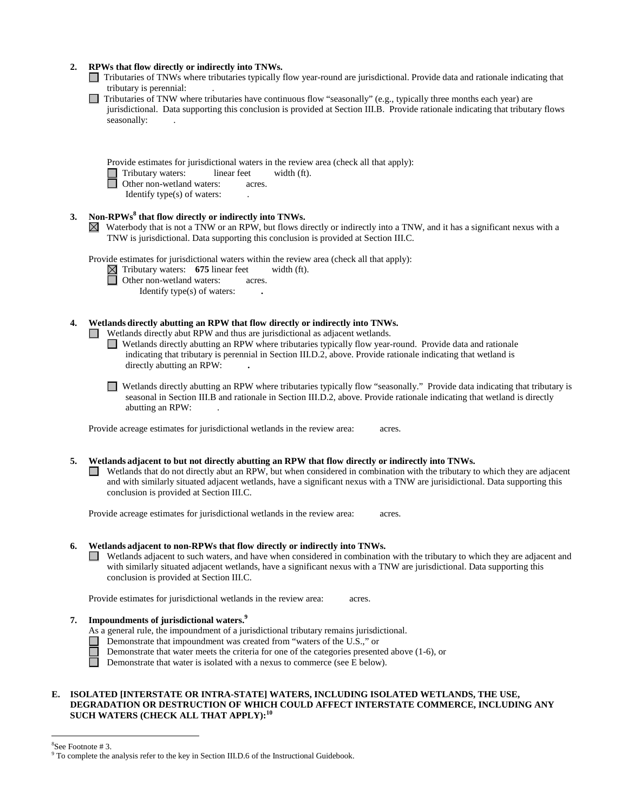| 2. | RPWs that flow directly or indirectly into TNWs.<br>Tributaries of TNWs where tributaries typically flow year-round are jurisdictional. Provide data and rationale indicating that<br>tributary is perennial:                                                                                                                                                                                                             |
|----|---------------------------------------------------------------------------------------------------------------------------------------------------------------------------------------------------------------------------------------------------------------------------------------------------------------------------------------------------------------------------------------------------------------------------|
|    | Tributaries of TNW where tributaries have continuous flow "seasonally" (e.g., typically three months each year) are<br>jurisdictional. Data supporting this conclusion is provided at Section III.B. Provide rationale indicating that tributary flows<br>seasonally:                                                                                                                                                     |
|    | Provide estimates for jurisdictional waters in the review area (check all that apply):<br>Tributary waters:<br>linear feet<br>width (ft).<br>Other non-wetland waters:<br>acres.<br>Identify type(s) of waters:                                                                                                                                                                                                           |
| 3. | Non-RPWs <sup>8</sup> that flow directly or indirectly into TNWs.<br>Waterbody that is not a TNW or an RPW, but flows directly or indirectly into a TNW, and it has a significant nexus with a<br>TNW is jurisdictional. Data supporting this conclusion is provided at Section III.C.                                                                                                                                    |
|    | Provide estimates for jurisdictional waters within the review area (check all that apply):<br>$\boxtimes$ Tributary waters: 675 linear feet<br>width (ft).<br>Other non-wetland waters:<br>acres.<br>Identify type(s) of waters:                                                                                                                                                                                          |
| 4. | Wetlands directly abutting an RPW that flow directly or indirectly into TNWs.<br>Wetlands directly abut RPW and thus are jurisdictional as adjacent wetlands.<br>Wetlands directly abutting an RPW where tributaries typically flow year-round. Provide data and rationale<br>indicating that tributary is perennial in Section III.D.2, above. Provide rationale indicating that wetland is<br>directly abutting an RPW: |
|    | Wetlands directly abutting an RPW where tributaries typically flow "seasonally." Provide data indicating that tributary is<br>seasonal in Section III.B and rationale in Section III.D.2, above. Provide rationale indicating that wetland is directly<br>abutting an RPW:                                                                                                                                                |
|    | Provide acreage estimates for jurisdictional wetlands in the review area:<br>acres.                                                                                                                                                                                                                                                                                                                                       |
| 5. | Wetlands adjacent to but not directly abutting an RPW that flow directly or indirectly into TNWs.<br>Wetlands that do not directly abut an RPW, but when considered in combination with the tributary to which they are adjacent<br>and with similarly situated adjacent wetlands, have a significant nexus with a TNW are jurisidictional. Data supporting this<br>conclusion is provided at Section III.C.              |
|    | Provide acreage estimates for jurisdictional wetlands in the review area:<br>acres.                                                                                                                                                                                                                                                                                                                                       |
| 6. | Wetlands adjacent to non-RPWs that flow directly or indirectly into TNWs.<br>Wetlands adjacent to such waters, and have when considered in combination with the tributary to which they are adjacent and<br>with similarly situated adjacent wetlands, have a significant nexus with a TNW are jurisdictional. Data supporting this<br>conclusion is provided at Section III.C.                                           |
|    | Provide estimates for jurisdictional wetlands in the review area:<br>acres.                                                                                                                                                                                                                                                                                                                                               |
| 7. | Impoundments of jurisdictional waters. <sup>9</sup><br>As a general rule, the impoundment of a jurisdictional tributary remains jurisdictional.<br>Demonstrate that impoundment was created from "waters of the U.S.," or<br>Demonstrate that water meets the criteria for one of the categories presented above $(1-6)$ , or<br>Demonstrate that water is isolated with a nexus to commerce (see E below).               |

### **E. ISOLATED [INTERSTATE OR INTRA-STATE] WATERS, INCLUDING ISOLATED WETLANDS, THE USE, DEGRADATION OR DESTRUCTION OF WHICH COULD AFFECT INTERSTATE COMMERCE, INCLUDING ANY SUCH WATERS (CHECK ALL THAT APPLY):<sup>10</sup>**

8

<sup>&</sup>lt;sup>8</sup>See Footnote # 3. 9 To complete the analysis refer to the key in Section III.D.6 of the Instructional Guidebook.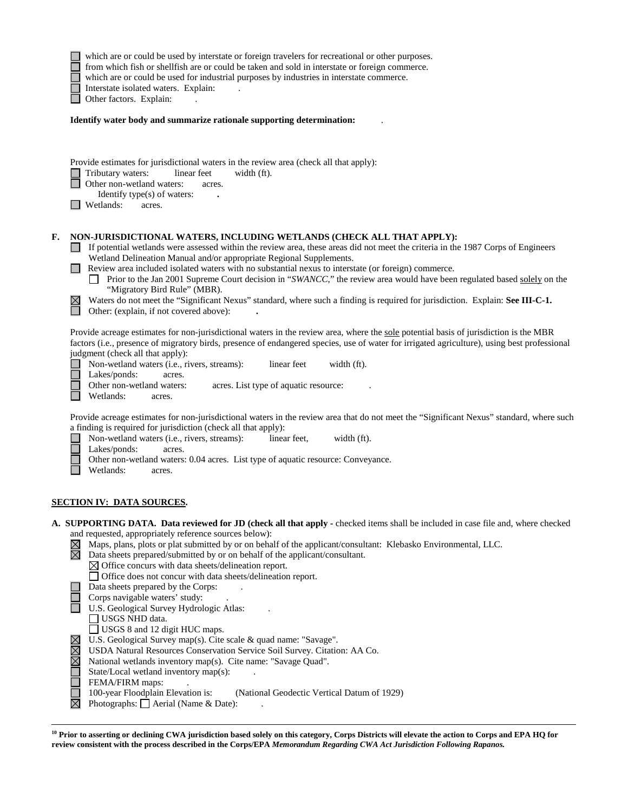|    |                       | which are or could be used by interstate or foreign travelers for recreational or other purposes.<br>from which fish or shellfish are or could be taken and sold in interstate or foreign commerce.<br>which are or could be used for industrial purposes by industries in interstate commerce.<br>Interstate isolated waters. Explain:<br>Other factors. Explain:                                                                                                                                                                                                                                                                                                                                                             |
|----|-----------------------|--------------------------------------------------------------------------------------------------------------------------------------------------------------------------------------------------------------------------------------------------------------------------------------------------------------------------------------------------------------------------------------------------------------------------------------------------------------------------------------------------------------------------------------------------------------------------------------------------------------------------------------------------------------------------------------------------------------------------------|
|    |                       | Identify water body and summarize rationale supporting determination:                                                                                                                                                                                                                                                                                                                                                                                                                                                                                                                                                                                                                                                          |
|    |                       | Provide estimates for jurisdictional waters in the review area (check all that apply):<br>Tributary waters:<br>linear feet<br>width (ft).<br>Other non-wetland waters:<br>acres.<br>Identify type(s) of waters:<br>Wetlands:<br>acres.                                                                                                                                                                                                                                                                                                                                                                                                                                                                                         |
| F. |                       | NON-JURISDICTIONAL WATERS, INCLUDING WETLANDS (CHECK ALL THAT APPLY):<br>If potential wetlands were assessed within the review area, these areas did not meet the criteria in the 1987 Corps of Engineers<br>Wetland Delineation Manual and/or appropriate Regional Supplements.<br>Review area included isolated waters with no substantial nexus to interstate (or foreign) commerce.<br>Prior to the Jan 2001 Supreme Court decision in "SWANCC," the review area would have been regulated based solely on the<br>"Migratory Bird Rule" (MBR).<br>Waters do not meet the "Significant Nexus" standard, where such a finding is required for jurisdiction. Explain: See III-C-1.<br>Other: (explain, if not covered above): |
|    |                       | Provide acreage estimates for non-jurisdictional waters in the review area, where the sole potential basis of jurisdiction is the MBR<br>factors (i.e., presence of migratory birds, presence of endangered species, use of water for irrigated agriculture), using best professional<br>judgment (check all that apply):<br>Non-wetland waters (i.e., rivers, streams):<br>linear feet<br>width (ft).<br>Lakes/ponds:<br>acres.<br>Other non-wetland waters:<br>acres. List type of aquatic resource:<br>Wetlands:<br>acres.                                                                                                                                                                                                  |
|    |                       | Provide acreage estimates for non-jurisdictional waters in the review area that do not meet the "Significant Nexus" standard, where such<br>a finding is required for jurisdiction (check all that apply):<br>Non-wetland waters (i.e., rivers, streams):<br>linear feet,<br>width (ft).<br>Lakes/ponds:<br>acres.<br>Other non-wetland waters: 0.04 acres. List type of aquatic resource: Conveyance.<br>Wetlands:<br>acres.                                                                                                                                                                                                                                                                                                  |
|    |                       | SECTION IV:  DATA SOURCES.                                                                                                                                                                                                                                                                                                                                                                                                                                                                                                                                                                                                                                                                                                     |
|    | $\boxtimes \boxtimes$ | A. SUPPORTING DATA. Data reviewed for JD (check all that apply - checked items shall be included in case file and, where checked<br>and requested, appropriately reference sources below):<br>Maps, plans, plots or plat submitted by or on behalf of the applicant/consultant: Klebasko Environmental, LLC.<br>Data sheets prepared/submitted by or on behalf of the applicant/consultant.<br>$\boxtimes$ Office concurs with data sheets/delineation report.                                                                                                                                                                                                                                                                 |
|    |                       | $\Box$ Office does not concur with data sheets/delineation report.<br>Data sheets prepared by the Corps:<br>Corps navigable waters' study:<br>U.S. Geological Survey Hydrologic Atlas:<br>$\Box$ USGS NHD data.<br>USGS 8 and 12 digit HUC maps.                                                                                                                                                                                                                                                                                                                                                                                                                                                                               |
|    | <b>NNN</b>            | U.S. Geological Survey map(s). Cite scale & quad name: "Savage".<br>USDA Natural Resources Conservation Service Soil Survey. Citation: AA Co.<br>National wetlands inventory map(s). Cite name: "Savage Quad".<br>State/Local wetland inventory map(s):<br>FEMA/FIRM maps:<br>100-year Floodplain Elevation is:<br>(National Geodectic Vertical Datum of 1929)                                                                                                                                                                                                                                                                                                                                                                 |

Photographs:  $\Box$  Aerial (Name & Date): .

 $\overline{a}$ 

**<sup>10</sup> Prior to asserting or declining CWA jurisdiction based solely on this category, Corps Districts will elevate the action to Corps and EPA HQ for review consistent with the process described in the Corps/EPA** *Memorandum Regarding CWA Act Jurisdiction Following Rapanos.*